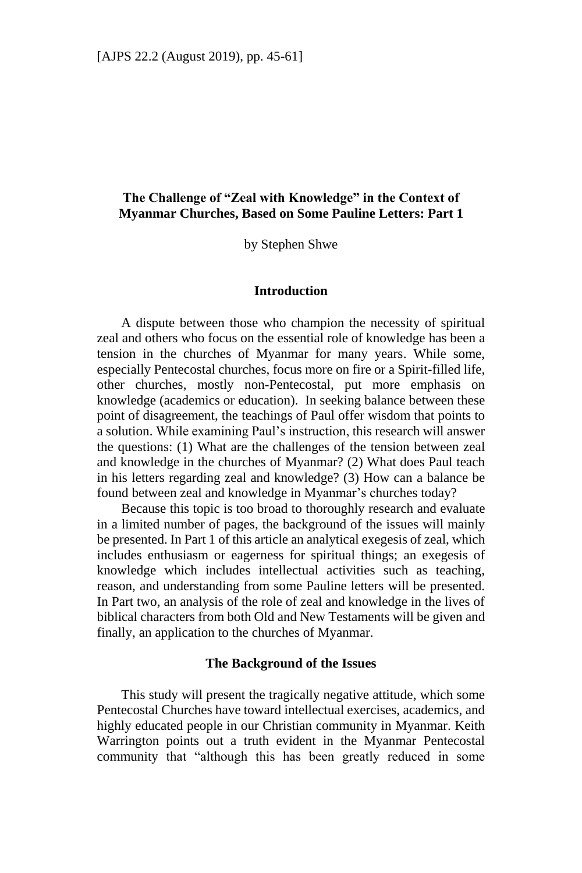## **The Challenge of "Zeal with Knowledge" in the Context of Myanmar Churches, Based on Some Pauline Letters: Part 1**

by Stephen Shwe

#### **Introduction**

A dispute between those who champion the necessity of spiritual zeal and others who focus on the essential role of knowledge has been a tension in the churches of Myanmar for many years. While some, especially Pentecostal churches, focus more on fire or a Spirit-filled life, other churches, mostly non-Pentecostal, put more emphasis on knowledge (academics or education). In seeking balance between these point of disagreement, the teachings of Paul offer wisdom that points to a solution. While examining Paul's instruction, this research will answer the questions: (1) What are the challenges of the tension between zeal and knowledge in the churches of Myanmar? (2) What does Paul teach in his letters regarding zeal and knowledge? (3) How can a balance be found between zeal and knowledge in Myanmar's churches today?

Because this topic is too broad to thoroughly research and evaluate in a limited number of pages, the background of the issues will mainly be presented. In Part 1 of this article an analytical exegesis of zeal, which includes enthusiasm or eagerness for spiritual things; an exegesis of knowledge which includes intellectual activities such as teaching, reason, and understanding from some Pauline letters will be presented. In Part two, an analysis of the role of zeal and knowledge in the lives of biblical characters from both Old and New Testaments will be given and finally, an application to the churches of Myanmar.

#### **The Background of the Issues**

This study will present the tragically negative attitude, which some Pentecostal Churches have toward intellectual exercises, academics, and highly educated people in our Christian community in Myanmar. Keith Warrington points out a truth evident in the Myanmar Pentecostal community that "although this has been greatly reduced in some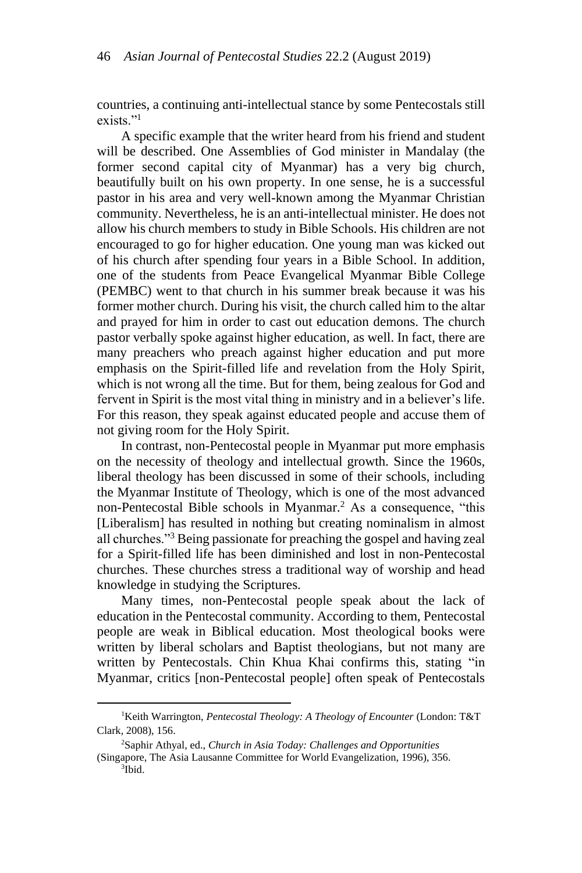countries, a continuing anti-intellectual stance by some Pentecostals still exists."<sup>1</sup>

A specific example that the writer heard from his friend and student will be described. One Assemblies of God minister in Mandalay (the former second capital city of Myanmar) has a very big church, beautifully built on his own property. In one sense, he is a successful pastor in his area and very well-known among the Myanmar Christian community. Nevertheless, he is an anti-intellectual minister. He does not allow his church members to study in Bible Schools. His children are not encouraged to go for higher education. One young man was kicked out of his church after spending four years in a Bible School. In addition, one of the students from Peace Evangelical Myanmar Bible College (PEMBC) went to that church in his summer break because it was his former mother church. During his visit, the church called him to the altar and prayed for him in order to cast out education demons. The church pastor verbally spoke against higher education, as well. In fact, there are many preachers who preach against higher education and put more emphasis on the Spirit-filled life and revelation from the Holy Spirit, which is not wrong all the time. But for them, being zealous for God and fervent in Spirit is the most vital thing in ministry and in a believer's life. For this reason, they speak against educated people and accuse them of not giving room for the Holy Spirit.

In contrast, non-Pentecostal people in Myanmar put more emphasis on the necessity of theology and intellectual growth. Since the 1960s, liberal theology has been discussed in some of their schools, including the Myanmar Institute of Theology, which is one of the most advanced non-Pentecostal Bible schools in Myanmar.<sup>2</sup> As a consequence, "this [Liberalism] has resulted in nothing but creating nominalism in almost all churches."<sup>3</sup> Being passionate for preaching the gospel and having zeal for a Spirit-filled life has been diminished and lost in non-Pentecostal churches. These churches stress a traditional way of worship and head knowledge in studying the Scriptures.

Many times, non-Pentecostal people speak about the lack of education in the Pentecostal community. According to them, Pentecostal people are weak in Biblical education. Most theological books were written by liberal scholars and Baptist theologians, but not many are written by Pentecostals. Chin Khua Khai confirms this, stating "in Myanmar, critics [non-Pentecostal people] often speak of Pentecostals

**.** 

<sup>1</sup>Keith Warrington, *Pentecostal Theology: A Theology of Encounter* (London: T&T Clark, 2008), 156.

<sup>2</sup>Saphir Athyal, ed., *Church in Asia Today: Challenges and Opportunities*  (Singapore, The Asia Lausanne Committee for World Evangelization, 1996), 356.

<sup>3</sup> Ibid.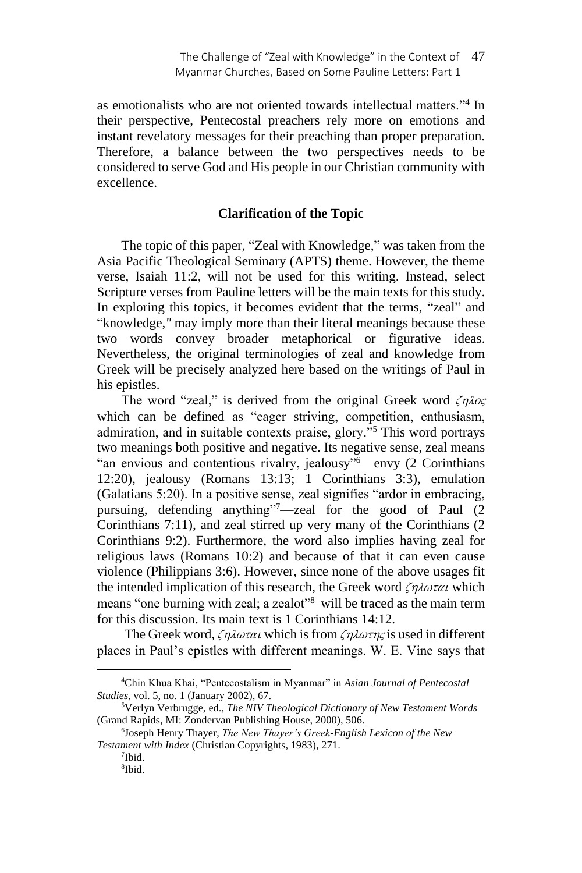as emotionalists who are not oriented towards intellectual matters."<sup>4</sup> In their perspective, Pentecostal preachers rely more on emotions and instant revelatory messages for their preaching than proper preparation. Therefore, a balance between the two perspectives needs to be considered to serve God and His people in our Christian community with excellence.

#### **Clarification of the Topic**

The topic of this paper, "Zeal with Knowledge," was taken from the Asia Pacific Theological Seminary (APTS) theme. However, the theme verse, Isaiah 11:2, will not be used for this writing. Instead, select Scripture verses from Pauline letters will be the main texts for this study. In exploring this topics, it becomes evident that the terms, "zeal" and "knowledge,*"* may imply more than their literal meanings because these two words convey broader metaphorical or figurative ideas. Nevertheless, the original terminologies of zeal and knowledge from Greek will be precisely analyzed here based on the writings of Paul in his epistles.

The word "zeal," is derived from the original Greek word  $\zeta n \lambda o \zeta$ which can be defined as "eager striving, competition, enthusiasm, admiration, and in suitable contexts praise, glory."<sup>5</sup> This word portrays two meanings both positive and negative. Its negative sense, zeal means "an envious and contentious rivalry, jealousy"<sup>6</sup>⸻envy (2 Corinthians 12:20), jealousy (Romans 13:13; 1 Corinthians 3:3), emulation (Galatians 5:20). In a positive sense, zeal signifies "ardor in embracing, pursuing, defending anything"<sup>7</sup>—zeal for the good of Paul (2) Corinthians 7:11), and zeal stirred up very many of the Corinthians (2 Corinthians 9:2). Furthermore, the word also implies having zeal for religious laws (Romans 10:2) and because of that it can even cause violence (Philippians 3:6). However, since none of the above usages fit the intended implication of this research, the Greek word  $\zeta \eta \lambda \omega \tau \alpha \iota$  which means "one burning with zeal; a zealot"<sup>8</sup> will be traced as the main term for this discussion. Its main text is 1 Corinthians 14:12.

The Greek word,  $\zeta \eta \lambda \omega \tau \alpha \iota$  which is from  $\zeta \eta \lambda \omega \tau \eta \zeta$  is used in different places in Paul's epistles with different meanings. W. E. Vine says that

<sup>4</sup>Chin Khua Khai, "Pentecostalism in Myanmar" in *Asian Journal of Pentecostal Studies*, vol. 5, no. 1 (January 2002), 67.

<sup>5</sup>Verlyn Verbrugge, ed., *The NIV Theological Dictionary of New Testament Words* (Grand Rapids, MI: Zondervan Publishing House, 2000), 506.

<sup>6</sup> Joseph Henry Thayer, *The New Thayer's Greek-English Lexicon of the New Testament with Index* (Christian Copyrights, 1983), 271.

<sup>7</sup> Ibid.

<sup>8</sup> Ibid.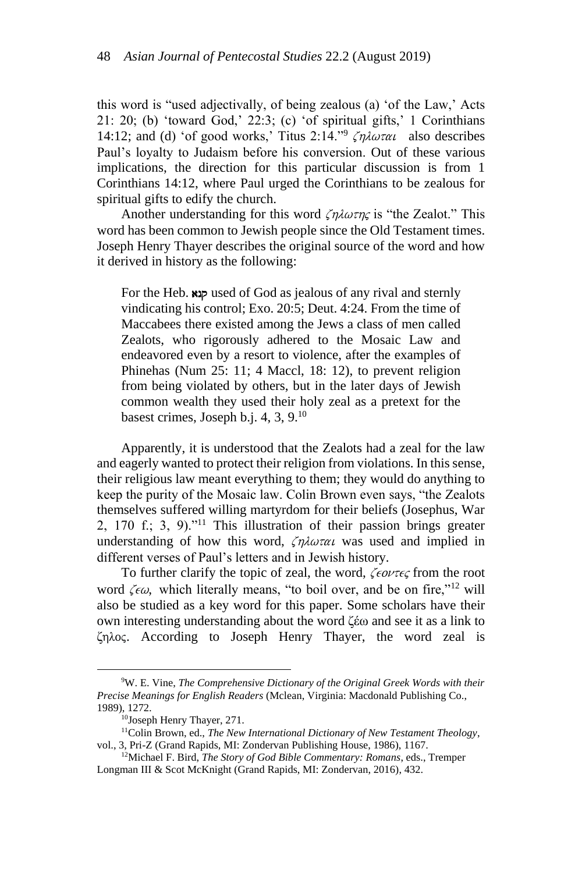this word is "used adjectivally, of being zealous (a) 'of the Law,' Acts 21: 20; (b) 'toward God,' 22:3; (c) 'of spiritual gifts,' 1 Corinthians 14:12; and (d) 'of good works,' Titus 2:14."  $\zeta \eta \lambda \omega \tau \alpha \iota$  also describes Paul's loyalty to Judaism before his conversion. Out of these various implications, the direction for this particular discussion is from 1 Corinthians 14:12, where Paul urged the Corinthians to be zealous for spiritual gifts to edify the church.

Another understanding for this word  $\zeta \eta \lambda \omega \tau \eta \zeta$  is "the Zealot." This word has been common to Jewish people since the Old Testament times. Joseph Henry Thayer describes the original source of the word and how it derived in history as the following:

For the Heb.  $\exp$  used of God as jealous of any rival and sternly vindicating his control; Exo. 20:5; Deut. 4:24. From the time of Maccabees there existed among the Jews a class of men called Zealots, who rigorously adhered to the Mosaic Law and endeavored even by a resort to violence, after the examples of Phinehas (Num 25: 11; 4 Maccl, 18: 12), to prevent religion from being violated by others, but in the later days of Jewish common wealth they used their holy zeal as a pretext for the basest crimes, Joseph b.j. 4, 3, 9.<sup>10</sup>

Apparently, it is understood that the Zealots had a zeal for the law and eagerly wanted to protect their religion from violations. In this sense, their religious law meant everything to them; they would do anything to keep the purity of the Mosaic law. Colin Brown even says, "the Zealots themselves suffered willing martyrdom for their beliefs (Josephus, War 2, 170 f.; 3, 9)."<sup>11</sup> This illustration of their passion brings greater understanding of how this word,  $\zeta \eta \lambda \omega \tau \alpha \nu$  was used and implied in different verses of Paul's letters and in Jewish history.

To further clarify the topic of zeal, the word,  $\zeta \in \partial \nu \tau \in \zeta$  from the root word  $\zeta \epsilon \omega$ , which literally means, "to boil over, and be on fire,"<sup>12</sup> will also be studied as a key word for this paper. Some scholars have their own interesting understanding about the word ζέω and see it as a link to ζηλος. According to Joseph Henry Thayer, the word zeal is

<sup>9</sup>W. E. Vine, *The Comprehensive Dictionary of the Original Greek Words with their Precise Meanings for English Readers* (Mclean, Virginia: Macdonald Publishing Co., 1989), 1272.

<sup>10</sup>Joseph Henry Thayer, 271.

<sup>11</sup>Colin Brown, ed., *The New International Dictionary of New Testament Theology*, vol., 3, Pri-Z (Grand Rapids, MI: Zondervan Publishing House, 1986), 1167.

<sup>12</sup>Michael F. Bird, *The Story of God Bible Commentary: Romans*, eds., Tremper Longman III & Scot McKnight (Grand Rapids, MI: Zondervan, 2016), 432.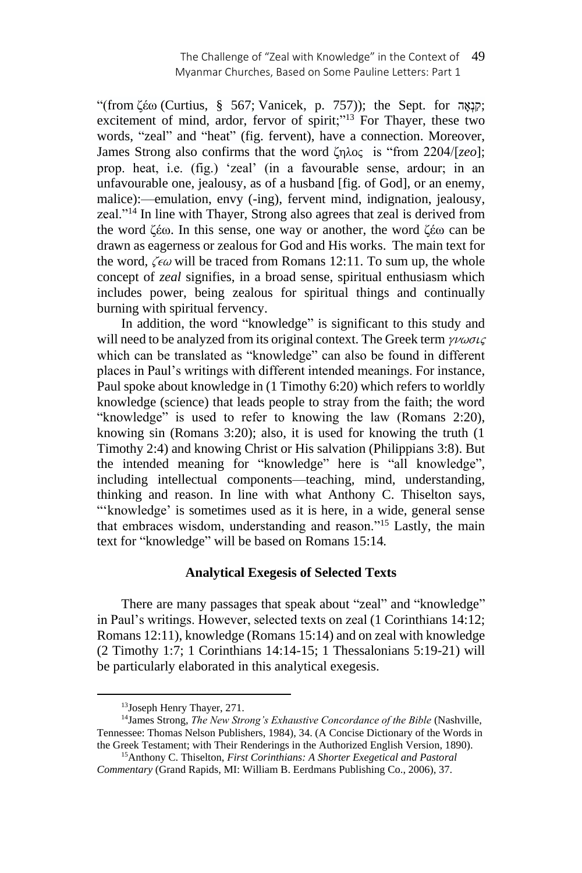"(from ζέω (Curtius, § 567; Vanicek, p. 757)); the Sept. for  $\tau$ קוֹאָה; excitement of mind, ardor, fervor of spirit;"<sup>13</sup> For Thayer, these two words, "zeal" and "heat" (fig. fervent), have a connection. Moreover, James Strong also confirms that the word ζhloj is "from 2204/[*zeo*]; prop. heat, i.e. (fig.) 'zeal' (in a favourable sense, ardour; in an unfavourable one, jealousy, as of a husband [fig. of God], or an enemy, malice):—emulation, envy (-ing), fervent mind, indignation, jealousy, zeal."<sup>14</sup> In line with Thayer, Strong also agrees that zeal is derived from the word ζέω. In this sense, one way or another, the word ζέω can be drawn as eagerness or zealous for God and His works. The main text for the word,  $\zeta \epsilon \omega$  will be traced from Romans 12:11. To sum up, the whole concept of *zeal* signifies, in a broad sense, spiritual enthusiasm which includes power, being zealous for spiritual things and continually burning with spiritual fervency.

In addition, the word "knowledge" is significant to this study and will need to be analyzed from its original context. The Greek term  $\gamma\nu\omega\sigma\iota\zeta$ which can be translated as "knowledge" can also be found in different places in Paul's writings with different intended meanings. For instance, Paul spoke about knowledge in (1 Timothy 6:20) which refers to worldly knowledge (science) that leads people to stray from the faith; the word "knowledge" is used to refer to knowing the law (Romans 2:20), knowing sin (Romans 3:20); also, it is used for knowing the truth (1 Timothy 2:4) and knowing Christ or His salvation (Philippians 3:8). But the intended meaning for "knowledge" here is "all knowledge", including intellectual components—teaching, mind, understanding, thinking and reason. In line with what Anthony C. Thiselton says, "'knowledge' is sometimes used as it is here, in a wide, general sense that embraces wisdom, understanding and reason."<sup>15</sup> Lastly, the main text for "knowledge" will be based on Romans 15:14*.*

## **Analytical Exegesis of Selected Texts**

There are many passages that speak about "zeal" and "knowledge" in Paul's writings. However, selected texts on zeal (1 Corinthians 14:12; Romans 12:11), knowledge (Romans 15:14) and on zeal with knowledge (2 Timothy 1:7; 1 Corinthians 14:14-15; 1 Thessalonians 5:19-21) will be particularly elaborated in this analytical exegesis.

<sup>13</sup>Joseph Henry Thayer, 271.

<sup>14</sup>James Strong, *The New Strong's Exhaustive Concordance of the Bible* (Nashville, Tennessee: Thomas Nelson Publishers, 1984), 34. (A Concise Dictionary of the Words in the Greek Testament; with Their Renderings in the Authorized English Version, 1890).

<sup>15</sup>Anthony C. Thiselton, *First Corinthians: A Shorter Exegetical and Pastoral Commentary* (Grand Rapids, MI: William B. Eerdmans Publishing Co., 2006), 37.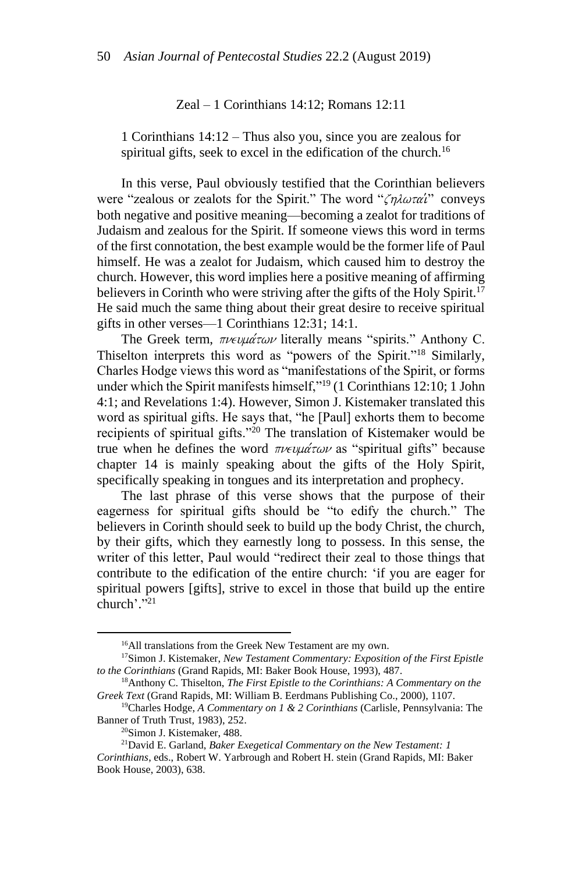Zeal – 1 Corinthians 14:12; Romans 12:11

1 Corinthians 14:12 – Thus also you, since you are zealous for spiritual gifts, seek to excel in the edification of the church.<sup>16</sup>

In this verse, Paul obviously testified that the Corinthian believers were "zealous or zealots for the Spirit." The word " $\zeta \eta \lambda \omega \tau \alpha'$ " conveys both negative and positive meaning⸻becoming a zealot for traditions of Judaism and zealous for the Spirit. If someone views this word in terms of the first connotation, the best example would be the former life of Paul himself. He was a zealot for Judaism, which caused him to destroy the church. However, this word implies here a positive meaning of affirming believers in Corinth who were striving after the gifts of the Holy Spirit.<sup>17</sup> He said much the same thing about their great desire to receive spiritual gifts in other verses⸻1 Corinthians 12:31; 14:1.

The Greek term,  $\pi \nu \epsilon \nu \mu \alpha \tau \omega \nu$  literally means "spirits." Anthony C. Thiselton interprets this word as "powers of the Spirit."<sup>18</sup> Similarly, Charles Hodge views this word as "manifestations of the Spirit, or forms under which the Spirit manifests himself,"<sup>19</sup> (1 Corinthians 12:10; 1 John 4:1; and Revelations 1:4). However, Simon J. Kistemaker translated this word as spiritual gifts. He says that, "he [Paul] exhorts them to become recipients of spiritual gifts."<sup>20</sup> The translation of Kistemaker would be true when he defines the word  $\pi \nu \epsilon \psi \mu \alpha \tau \omega \nu$  as "spiritual gifts" because chapter 14 is mainly speaking about the gifts of the Holy Spirit, specifically speaking in tongues and its interpretation and prophecy.

The last phrase of this verse shows that the purpose of their eagerness for spiritual gifts should be "to edify the church." The believers in Corinth should seek to build up the body Christ, the church, by their gifts, which they earnestly long to possess. In this sense, the writer of this letter, Paul would "redirect their zeal to those things that contribute to the edification of the entire church: 'if you are eager for spiritual powers [gifts], strive to excel in those that build up the entire church'." 21

**.** 

<sup>&</sup>lt;sup>16</sup>All translations from the Greek New Testament are my own.

<sup>17</sup>Simon J. Kistemaker, *New Testament Commentary: Exposition of the First Epistle to the Corinthians* (Grand Rapids, MI: Baker Book House, 1993), 487.

<sup>18</sup>Anthony C. Thiselton, *The First Epistle to the Corinthians: A Commentary on the Greek Text* (Grand Rapids, MI: William B. Eerdmans Publishing Co., 2000), 1107.

<sup>19</sup>Charles Hodge, *A Commentary on 1 & 2 Corinthians* (Carlisle, Pennsylvania: The Banner of Truth Trust, 1983), 252.

<sup>20</sup>Simon J. Kistemaker, 488.

<sup>21</sup>David E. Garland, *Baker Exegetical Commentary on the New Testament: 1 Corinthians*, eds., Robert W. Yarbrough and Robert H. stein (Grand Rapids, MI: Baker Book House, 2003), 638.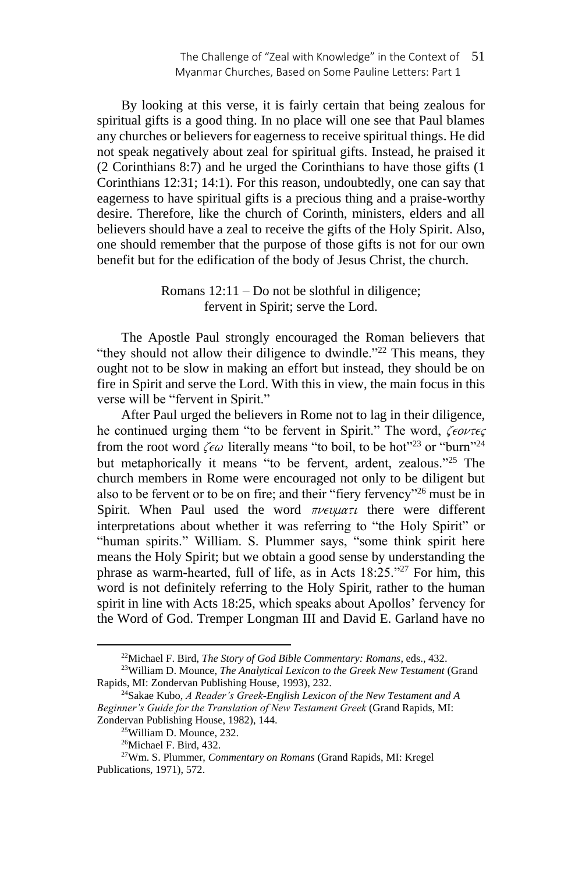By looking at this verse, it is fairly certain that being zealous for spiritual gifts is a good thing. In no place will one see that Paul blames any churches or believers for eagerness to receive spiritual things. He did not speak negatively about zeal for spiritual gifts. Instead, he praised it (2 Corinthians 8:7) and he urged the Corinthians to have those gifts (1 Corinthians 12:31; 14:1). For this reason, undoubtedly, one can say that eagerness to have spiritual gifts is a precious thing and a praise-worthy desire. Therefore, like the church of Corinth, ministers, elders and all believers should have a zeal to receive the gifts of the Holy Spirit. Also, one should remember that the purpose of those gifts is not for our own benefit but for the edification of the body of Jesus Christ, the church.

> Romans  $12:11 - Do$  not be slothful in diligence; fervent in Spirit; serve the Lord.

The Apostle Paul strongly encouraged the Roman believers that "they should not allow their diligence to dwindle."<sup>22</sup> This means, they ought not to be slow in making an effort but instead, they should be on fire in Spirit and serve the Lord. With this in view, the main focus in this verse will be "fervent in Spirit."

After Paul urged the believers in Rome not to lag in their diligence, he continued urging them "to be fervent in Spirit." The word,  $\zeta \epsilon \omega \tau \epsilon \zeta$ from the root word  $\zeta \epsilon \omega$  literally means "to boil, to be hot"<sup>23</sup> or "burn"<sup>24</sup> but metaphorically it means "to be fervent, ardent, zealous."<sup>25</sup> The church members in Rome were encouraged not only to be diligent but also to be fervent or to be on fire; and their "fiery fervency"<sup>26</sup> must be in Spirit. When Paul used the word  $\pi\nu \in \mathcal{L}$  there were different interpretations about whether it was referring to "the Holy Spirit" or "human spirits." William. S. Plummer says, "some think spirit here means the Holy Spirit; but we obtain a good sense by understanding the phrase as warm-hearted, full of life, as in Acts 18:25."<sup>27</sup> For him, this word is not definitely referring to the Holy Spirit, rather to the human spirit in line with Acts 18:25, which speaks about Apollos' fervency for the Word of God. Tremper Longman III and David E. Garland have no

<sup>22</sup>Michael F. Bird, *The Story of God Bible Commentary: Romans*, eds., 432.

<sup>23</sup>William D. Mounce, *The Analytical Lexicon to the Greek New Testament* (Grand Rapids, MI: Zondervan Publishing House, 1993), 232.

<sup>24</sup>Sakae Kubo, *A Reader's Greek-English Lexicon of the New Testament and A Beginner's Guide for the Translation of New Testament Greek* (Grand Rapids, MI: Zondervan Publishing House, 1982), 144.

<sup>25</sup>William D. Mounce, 232.

<sup>26</sup>Michael F. Bird, 432.

<sup>27</sup>Wm. S. Plummer, *Commentary on Romans* (Grand Rapids, MI: Kregel Publications, 1971), 572.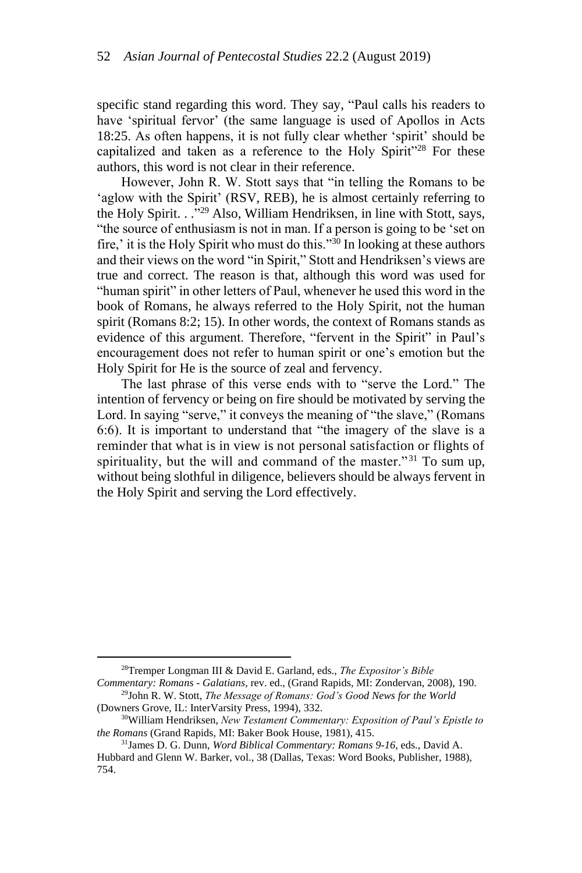specific stand regarding this word. They say, "Paul calls his readers to have 'spiritual fervor' (the same language is used of Apollos in Acts 18:25. As often happens, it is not fully clear whether 'spirit' should be capitalized and taken as a reference to the Holy Spirit<sup>328</sup> For these authors, this word is not clear in their reference.

However, John R. W. Stott says that "in telling the Romans to be 'aglow with the Spirit' (RSV, REB), he is almost certainly referring to the Holy Spirit. . ." <sup>29</sup> Also, William Hendriksen, in line with Stott, says, "the source of enthusiasm is not in man. If a person is going to be 'set on fire,' it is the Holy Spirit who must do this." $30$  In looking at these authors and their views on the word "in Spirit," Stott and Hendriksen's views are true and correct. The reason is that, although this word was used for "human spirit" in other letters of Paul, whenever he used this word in the book of Romans, he always referred to the Holy Spirit, not the human spirit (Romans 8:2; 15). In other words, the context of Romans stands as evidence of this argument. Therefore, "fervent in the Spirit" in Paul's encouragement does not refer to human spirit or one's emotion but the Holy Spirit for He is the source of zeal and fervency.

The last phrase of this verse ends with to "serve the Lord." The intention of fervency or being on fire should be motivated by serving the Lord. In saying "serve," it conveys the meaning of "the slave," (Romans 6:6). It is important to understand that "the imagery of the slave is a reminder that what is in view is not personal satisfaction or flights of spirituality, but the will and command of the master."<sup>31</sup> To sum up, without being slothful in diligence, believers should be always fervent in the Holy Spirit and serving the Lord effectively.

<sup>28</sup>Tremper Longman III & David E. Garland, eds., *The Expositor's Bible Commentary: Romans - Galatians*, rev. ed., (Grand Rapids, MI: Zondervan, 2008), 190.

<sup>29</sup>John R. W. Stott, *The Message of Romans: God's Good News for the World* (Downers Grove, IL: InterVarsity Press, 1994), 332.

<sup>30</sup>William Hendriksen, *New Testament Commentary: Exposition of Paul's Epistle to the Romans* (Grand Rapids, MI: Baker Book House, 1981), 415.

<sup>31</sup>James D. G. Dunn, *Word Biblical Commentary: Romans 9-16*, eds., David A. Hubbard and Glenn W. Barker, vol., 38 (Dallas, Texas: Word Books, Publisher, 1988), 754.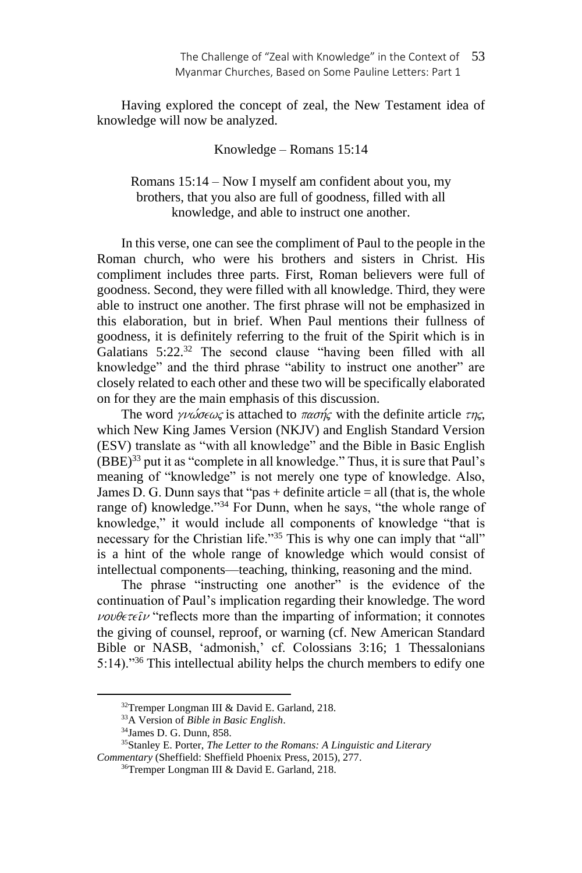Having explored the concept of zeal, the New Testament idea of knowledge will now be analyzed.

Knowledge – Romans 15:14

Romans 15:14 – Now I myself am confident about you, my brothers, that you also are full of goodness, filled with all knowledge, and able to instruct one another.

In this verse, one can see the compliment of Paul to the people in the Roman church, who were his brothers and sisters in Christ. His compliment includes three parts. First, Roman believers were full of goodness. Second, they were filled with all knowledge. Third, they were able to instruct one another. The first phrase will not be emphasized in this elaboration, but in brief. When Paul mentions their fullness of goodness, it is definitely referring to the fruit of the Spirit which is in Galatians 5:22.<sup>32</sup> The second clause "having been filled with all knowledge" and the third phrase "ability to instruct one another" are closely related to each other and these two will be specifically elaborated on for they are the main emphasis of this discussion.

The word  $\gamma\nu\omega\sigma\epsilon\omega\zeta$  is attached to  $\pi\alpha\sigma\eta\zeta$ , with the definite article  $\tau\eta\zeta$ , which New King James Version (NKJV) and English Standard Version (ESV) translate as "with all knowledge" and the Bible in Basic English (BBE) <sup>33</sup> put it as "complete in all knowledge." Thus, it is sure that Paul's meaning of "knowledge" is not merely one type of knowledge. Also, James D. G. Dunn says that "pas  $+$  definite article  $=$  all (that is, the whole range of) knowledge." <sup>34</sup> For Dunn, when he says, "the whole range of knowledge," it would include all components of knowledge "that is necessary for the Christian life."<sup>35</sup> This is why one can imply that "all" is a hint of the whole range of knowledge which would consist of intellectual components⸻teaching, thinking, reasoning and the mind.

The phrase "instructing one another" is the evidence of the continuation of Paul's implication regarding their knowledge. The word  $\nu\omega\theta\epsilon\tau\epsilon\hat{\iota}\nu$  "reflects more than the imparting of information; it connotes the giving of counsel, reproof, or warning (cf. New American Standard Bible or NASB, 'admonish,' cf. Colossians 3:16; 1 Thessalonians 5:14)."<sup>36</sup> This intellectual ability helps the church members to edify one

<sup>&</sup>lt;sup>32</sup>Tremper Longman III & David E. Garland, 218.

<sup>33</sup>A Version of *Bible in Basic English*.

<sup>34</sup>James D. G. Dunn, 858.

<sup>35</sup>Stanley E. Porter, *The Letter to the Romans: A Linguistic and Literary Commentary* (Sheffield: Sheffield Phoenix Press, 2015), 277.

<sup>36</sup>Tremper Longman III & David E. Garland, 218.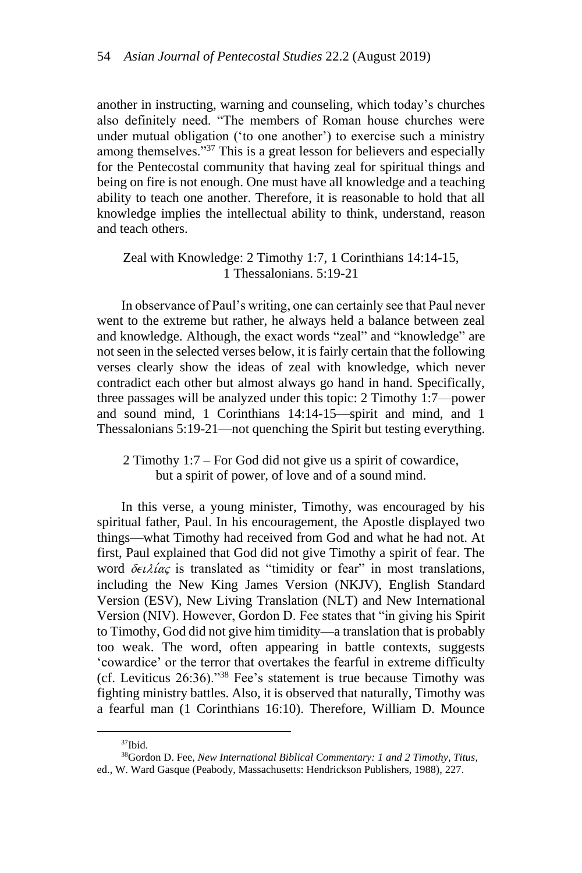another in instructing, warning and counseling, which today's churches also definitely need. "The members of Roman house churches were under mutual obligation ('to one another') to exercise such a ministry among themselves."<sup>37</sup> This is a great lesson for believers and especially for the Pentecostal community that having zeal for spiritual things and being on fire is not enough. One must have all knowledge and a teaching ability to teach one another. Therefore, it is reasonable to hold that all knowledge implies the intellectual ability to think, understand, reason and teach others.

## Zeal with Knowledge: 2 Timothy 1:7, 1 Corinthians 14:14-15, 1 Thessalonians. 5:19-21

In observance of Paul's writing, one can certainly see that Paul never went to the extreme but rather, he always held a balance between zeal and knowledge. Although, the exact words "zeal" and "knowledge" are not seen in the selected verses below, it is fairly certain that the following verses clearly show the ideas of zeal with knowledge, which never contradict each other but almost always go hand in hand. Specifically, three passages will be analyzed under this topic: 2 Timothy 1:7—power and sound mind, 1 Corinthians 14:14-15—spirit and mind, and 1 Thessalonians 5:19-21—not quenching the Spirit but testing everything.

2 Timothy 1:7 – For God did not give us a spirit of cowardice, but a spirit of power, of love and of a sound mind.

In this verse, a young minister, Timothy, was encouraged by his spiritual father, Paul. In his encouragement, the Apostle displayed two things⸻what Timothy had received from God and what he had not. At first, Paul explained that God did not give Timothy a spirit of fear. The word  $\delta \epsilon \lambda / \alpha \zeta$  is translated as "timidity or fear" in most translations, including the New King James Version (NKJV), English Standard Version (ESV), New Living Translation (NLT) and New International Version (NIV). However, Gordon D. Fee states that "in giving his Spirit to Timothy, God did not give him timidity⸻a translation that is probably too weak. The word, often appearing in battle contexts, suggests 'cowardice' or the terror that overtakes the fearful in extreme difficulty (cf. Leviticus 26:36)."<sup>38</sup> Fee's statement is true because Timothy was fighting ministry battles. Also, it is observed that naturally, Timothy was a fearful man (1 Corinthians 16:10). Therefore, William D. Mounce

<sup>37</sup>Ibid.

<sup>38</sup>Gordon D. Fee, *New International Biblical Commentary: 1 and 2 Timothy, Titus*,

ed., W. Ward Gasque (Peabody, Massachusetts: Hendrickson Publishers, 1988), 227.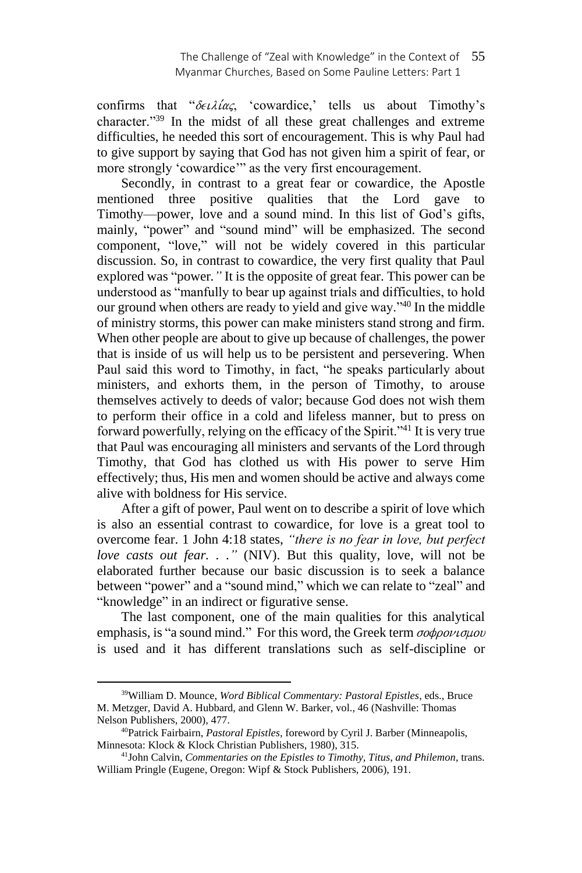confirms that " $\delta \epsilon \iota \lambda i \alpha \zeta$ , 'cowardice,' tells us about Timothy's character."<sup>39</sup> In the midst of all these great challenges and extreme difficulties, he needed this sort of encouragement. This is why Paul had to give support by saying that God has not given him a spirit of fear, or more strongly 'cowardice'" as the very first encouragement.

Secondly, in contrast to a great fear or cowardice, the Apostle mentioned three positive qualities that the Lord gave to Timothy⸻power, love and a sound mind. In this list of God's gifts, mainly, "power" and "sound mind" will be emphasized. The second component, "love," will not be widely covered in this particular discussion. So, in contrast to cowardice, the very first quality that Paul explored was "power*."* It is the opposite of great fear. This power can be understood as "manfully to bear up against trials and difficulties, to hold our ground when others are ready to yield and give way."<sup>40</sup> In the middle of ministry storms, this power can make ministers stand strong and firm. When other people are about to give up because of challenges, the power that is inside of us will help us to be persistent and persevering. When Paul said this word to Timothy, in fact, "he speaks particularly about ministers, and exhorts them, in the person of Timothy, to arouse themselves actively to deeds of valor; because God does not wish them to perform their office in a cold and lifeless manner, but to press on forward powerfully, relying on the efficacy of the Spirit."<sup>41</sup> It is very true that Paul was encouraging all ministers and servants of the Lord through Timothy, that God has clothed us with His power to serve Him effectively; thus, His men and women should be active and always come alive with boldness for His service.

After a gift of power, Paul went on to describe a spirit of love which is also an essential contrast to cowardice, for love is a great tool to overcome fear. 1 John 4:18 states, *"there is no fear in love, but perfect love casts out fear...*" (NIV). But this quality, love, will not be elaborated further because our basic discussion is to seek a balance between "power" and a "sound mind," which we can relate to "zeal" and "knowledge" in an indirect or figurative sense.

The last component, one of the main qualities for this analytical emphasis, is "a sound mind." For this word, the Greek term  $\sigma \phi \rho \partial \phi \nu \sigma \mu \partial \nu$ is used and it has different translations such as self-discipline or

<sup>39</sup>William D. Mounce, *Word Biblical Commentary: Pastoral Epistles*, eds., Bruce M. Metzger, David A. Hubbard, and Glenn W. Barker, vol., 46 (Nashville: Thomas Nelson Publishers, 2000), 477.

<sup>40</sup>Patrick Fairbairn, *Pastoral Epistles*, foreword by Cyril J. Barber (Minneapolis, Minnesota: Klock & Klock Christian Publishers, 1980), 315.

<sup>41</sup>John Calvin, *Commentaries on the Epistles to Timothy, Titus, and Philemon*, trans. William Pringle (Eugene, Oregon: Wipf & Stock Publishers, 2006), 191.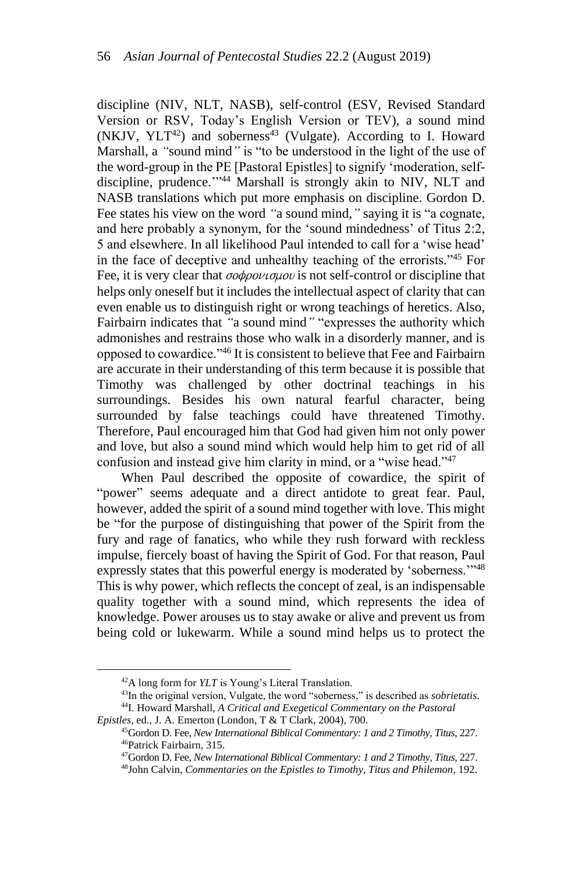discipline (NIV, NLT, NASB), self-control (ESV, Revised Standard Version or RSV, Today's English Version or TEV), a sound mind  $(NKJV, YLT<sup>42</sup>)$  and soberness<sup>43</sup> (Vulgate). According to I. Howard Marshall, a *"*sound mind*"* is "to be understood in the light of the use of the word-group in the PE [Pastoral Epistles] to signify 'moderation, selfdiscipline, prudence.'" <sup>44</sup> Marshall is strongly akin to NIV, NLT and NASB translations which put more emphasis on discipline. Gordon D. Fee states his view on the word *"*a sound mind*,"* saying it is "a cognate, and here probably a synonym, for the 'sound mindedness' of Titus 2:2, 5 and elsewhere. In all likelihood Paul intended to call for a 'wise head' in the face of deceptive and unhealthy teaching of the errorists."<sup>45</sup> For Fee, it is very clear that  $\sigma \phi \phi \circ \phi \psi \circ \phi$  is not self-control or discipline that helps only oneself but it includes the intellectual aspect of clarity that can even enable us to distinguish right or wrong teachings of heretics. Also, Fairbairn indicates that *"*a sound mind*"* "expresses the authority which admonishes and restrains those who walk in a disorderly manner, and is opposed to cowardice."<sup>46</sup> It is consistent to believe that Fee and Fairbairn are accurate in their understanding of this term because it is possible that Timothy was challenged by other doctrinal teachings in his surroundings. Besides his own natural fearful character, being surrounded by false teachings could have threatened Timothy. Therefore, Paul encouraged him that God had given him not only power and love, but also a sound mind which would help him to get rid of all confusion and instead give him clarity in mind, or a "wise head."<sup>47</sup>

When Paul described the opposite of cowardice, the spirit of "power" seems adequate and a direct antidote to great fear. Paul, however, added the spirit of a sound mind together with love. This might be "for the purpose of distinguishing that power of the Spirit from the fury and rage of fanatics, who while they rush forward with reckless impulse, fiercely boast of having the Spirit of God. For that reason, Paul expressly states that this powerful energy is moderated by 'soberness.'"<sup>48</sup> This is why power, which reflects the concept of zeal, is an indispensable quality together with a sound mind, which represents the idea of knowledge. Power arouses us to stay awake or alive and prevent us from being cold or lukewarm. While a sound mind helps us to protect the

<sup>42</sup>A long form for *YLT* is Young's Literal Translation.

<sup>43</sup>In the original version, Vulgate, the word "soberness," is described as *sobrietatis*.

<sup>44</sup>I. Howard Marshall, *A Critical and Exegetical Commentary on the Pastoral* 

*Epistles*, ed., J. A. Emerton (London, T & T Clark, 2004), 700.

<sup>45</sup>Gordon D. Fee, *New International Biblical Commentary: 1 and 2 Timothy, Titus*, 227. <sup>46</sup>Patrick Fairbairn, 315.

<sup>47</sup>Gordon D. Fee, *New International Biblical Commentary: 1 and 2 Timothy, Titus*, 227.

<sup>48</sup>John Calvin, *Commentaries on the Epistles to Timothy, Titus and Philemon*, 192.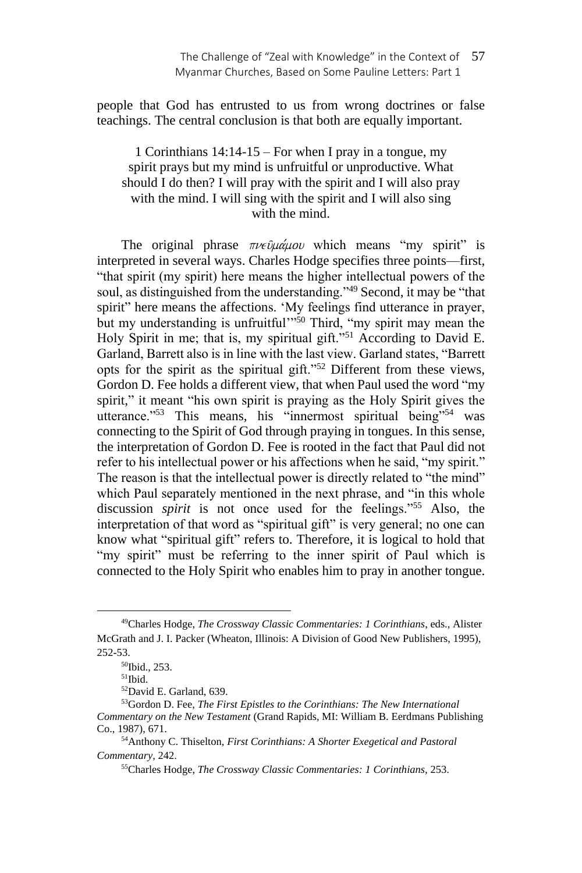people that God has entrusted to us from wrong doctrines or false teachings. The central conclusion is that both are equally important.

# 1 Corinthians 14:14-15 – For when I pray in a tongue, my spirit prays but my mind is unfruitful or unproductive. What should I do then? I will pray with the spirit and I will also pray with the mind. I will sing with the spirit and I will also sing with the mind.

The original phrase  $\pi\nu\epsilon\hat{\nu}\mu\hat{\alpha}\mu\omega\nu$  which means "my spirit" is interpreted in several ways. Charles Hodge specifies three points⸻first, "that spirit (my spirit) here means the higher intellectual powers of the soul, as distinguished from the understanding."<sup>49</sup> Second, it may be "that spirit" here means the affections. 'My feelings find utterance in prayer, but my understanding is unfruitful<sup>11</sup>,<sup>50</sup> Third, "my spirit may mean the Holy Spirit in me; that is, my spiritual gift."<sup>51</sup> According to David E. Garland, Barrett also is in line with the last view. Garland states, "Barrett opts for the spirit as the spiritual gift."<sup>52</sup> Different from these views, Gordon D. Fee holds a different view, that when Paul used the word "my spirit," it meant "his own spirit is praying as the Holy Spirit gives the utterance."<sup>53</sup> This means, his "innermost spiritual being.<sup>"54</sup> was connecting to the Spirit of God through praying in tongues. In this sense, the interpretation of Gordon D. Fee is rooted in the fact that Paul did not refer to his intellectual power or his affections when he said, "my spirit." The reason is that the intellectual power is directly related to "the mind" which Paul separately mentioned in the next phrase, and "in this whole discussion *spirit* is not once used for the feelings."<sup>55</sup> Also, the interpretation of that word as "spiritual gift" is very general; no one can know what "spiritual gift" refers to. Therefore, it is logical to hold that "my spirit" must be referring to the inner spirit of Paul which is connected to the Holy Spirit who enables him to pray in another tongue.

<sup>49</sup>Charles Hodge, *The Crossway Classic Commentaries: 1 Corinthians*, eds., Alister McGrath and J. I. Packer (Wheaton, Illinois: A Division of Good New Publishers, 1995), 252-53.

<sup>50</sup>Ibid., 253.

 $51$ Ibid.

<sup>52</sup>David E. Garland, 639.

<sup>53</sup>Gordon D. Fee, *The First Epistles to the Corinthians: The New International Commentary on the New Testament* (Grand Rapids, MI: William B. Eerdmans Publishing Co., 1987), 671.

<sup>54</sup>Anthony C. Thiselton, *First Corinthians: A Shorter Exegetical and Pastoral Commentary,* 242.

<sup>55</sup>Charles Hodge, *The Crossway Classic Commentaries: 1 Corinthians,* 253.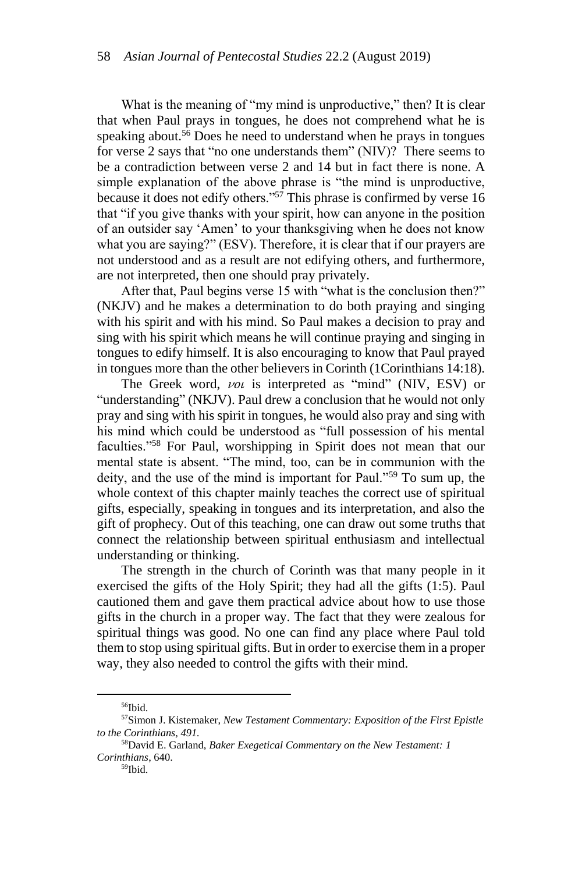What is the meaning of "my mind is unproductive," then? It is clear that when Paul prays in tongues, he does not comprehend what he is speaking about.<sup>56</sup> Does he need to understand when he prays in tongues for verse 2 says that "no one understands them" (NIV)? There seems to be a contradiction between verse 2 and 14 but in fact there is none. A simple explanation of the above phrase is "the mind is unproductive, because it does not edify others."<sup>57</sup> This phrase is confirmed by verse 16 that "if you give thanks with your spirit, how can anyone in the position of an outsider say 'Amen' to your thanksgiving when he does not know what you are saying?" (ESV). Therefore, it is clear that if our prayers are not understood and as a result are not edifying others, and furthermore, are not interpreted, then one should pray privately.

After that, Paul begins verse 15 with "what is the conclusion then?" (NKJV) and he makes a determination to do both praying and singing with his spirit and with his mind. So Paul makes a decision to pray and sing with his spirit which means he will continue praying and singing in tongues to edify himself. It is also encouraging to know that Paul prayed in tongues more than the other believers in Corinth (1Corinthians 14:18).

The Greek word, voi is interpreted as "mind" (NIV, ESV) or "understanding" (NKJV). Paul drew a conclusion that he would not only pray and sing with his spirit in tongues, he would also pray and sing with his mind which could be understood as "full possession of his mental faculties."<sup>58</sup> For Paul, worshipping in Spirit does not mean that our mental state is absent. "The mind, too, can be in communion with the deity, and the use of the mind is important for Paul."<sup>59</sup> To sum up, the whole context of this chapter mainly teaches the correct use of spiritual gifts, especially, speaking in tongues and its interpretation, and also the gift of prophecy. Out of this teaching, one can draw out some truths that connect the relationship between spiritual enthusiasm and intellectual understanding or thinking.

The strength in the church of Corinth was that many people in it exercised the gifts of the Holy Spirit; they had all the gifts (1:5). Paul cautioned them and gave them practical advice about how to use those gifts in the church in a proper way. The fact that they were zealous for spiritual things was good. No one can find any place where Paul told them to stop using spiritual gifts. But in order to exercise them in a proper way, they also needed to control the gifts with their mind.

<sup>56</sup>Ibid.

<sup>57</sup>Simon J. Kistemaker, *New Testament Commentary: Exposition of the First Epistle to the Corinthians, 491.*

<sup>58</sup>David E. Garland, *Baker Exegetical Commentary on the New Testament: 1 Corinthians*, 640.

<sup>59</sup>Ibid.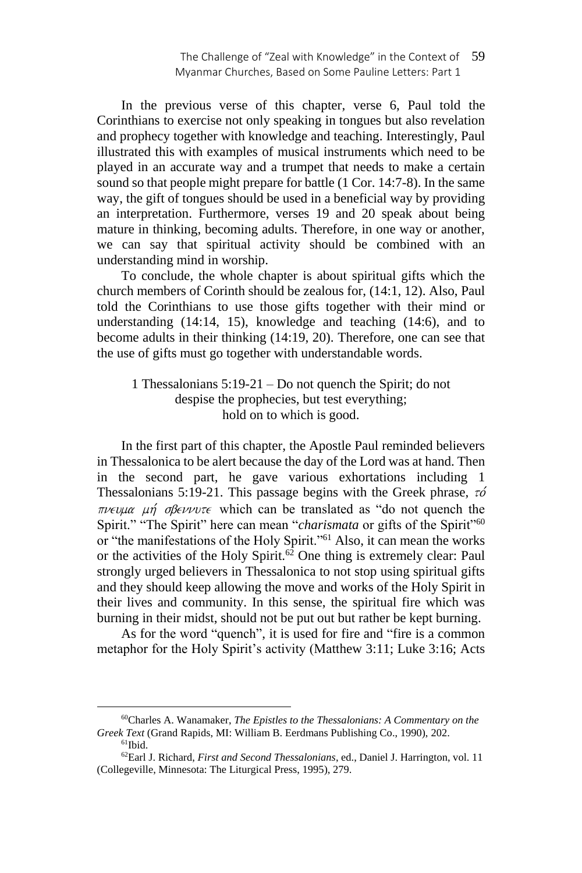In the previous verse of this chapter, verse 6, Paul told the Corinthians to exercise not only speaking in tongues but also revelation and prophecy together with knowledge and teaching. Interestingly, Paul illustrated this with examples of musical instruments which need to be played in an accurate way and a trumpet that needs to make a certain sound so that people might prepare for battle (1 Cor. 14:7-8). In the same way, the gift of tongues should be used in a beneficial way by providing an interpretation. Furthermore, verses 19 and 20 speak about being mature in thinking, becoming adults. Therefore, in one way or another, we can say that spiritual activity should be combined with an understanding mind in worship.

To conclude, the whole chapter is about spiritual gifts which the church members of Corinth should be zealous for, (14:1, 12). Also, Paul told the Corinthians to use those gifts together with their mind or understanding (14:14, 15), knowledge and teaching (14:6), and to become adults in their thinking (14:19, 20). Therefore, one can see that the use of gifts must go together with understandable words.

## 1 Thessalonians 5:19-21 – Do not quench the Spirit; do not despise the prophecies, but test everything; hold on to which is good.

In the first part of this chapter, the Apostle Paul reminded believers in Thessalonica to be alert because the day of the Lord was at hand. Then in the second part, he gave various exhortations including 1 Thessalonians 5:19-21. This passage begins with the Greek phrase,  $\tau \phi$  $\pi\nu \in \nu\mu\alpha$   $\mu\eta$  of  $\beta \in \nu\nu\alpha\tau$  which can be translated as "do not quench the Spirit." "The Spirit" here can mean "*charismata* or gifts of the Spirit"<sup>60</sup> or "the manifestations of the Holy Spirit."<sup>61</sup> Also, it can mean the works or the activities of the Holy Spirit.<sup>62</sup> One thing is extremely clear: Paul strongly urged believers in Thessalonica to not stop using spiritual gifts and they should keep allowing the move and works of the Holy Spirit in their lives and community. In this sense, the spiritual fire which was burning in their midst, should not be put out but rather be kept burning.

As for the word "quench", it is used for fire and "fire is a common metaphor for the Holy Spirit's activity (Matthew 3:11; Luke 3:16; Acts

<sup>60</sup>Charles A. Wanamaker, *The Epistles to the Thessalonians: A Commentary on the Greek Text* (Grand Rapids, MI: William B. Eerdmans Publishing Co., 1990), 202.

 $61$ Ibid.

<sup>62</sup>Earl J. Richard, *First and Second Thessalonians*, ed., Daniel J. Harrington, vol. 11 (Collegeville, Minnesota: The Liturgical Press, 1995), 279.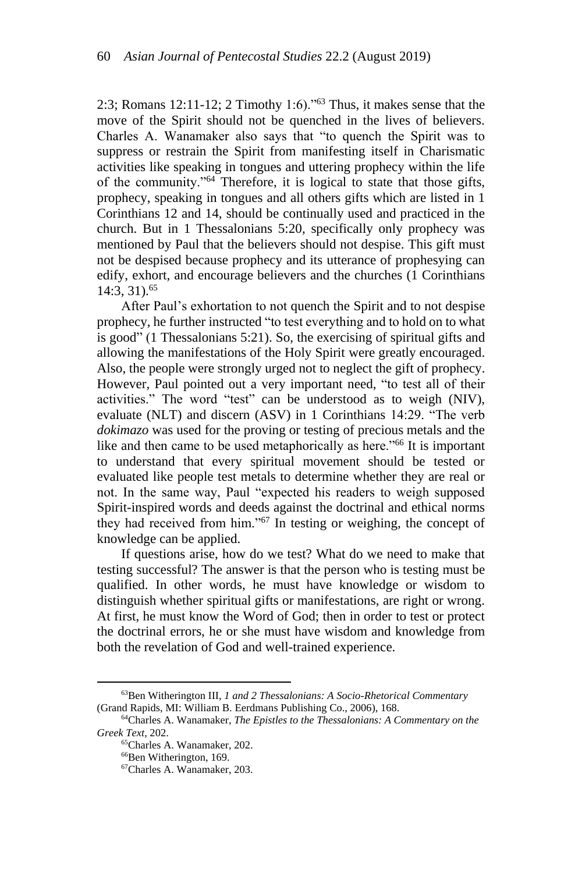2:3; Romans 12:11-12; 2 Timothy 1:6)."<sup>63</sup> Thus, it makes sense that the move of the Spirit should not be quenched in the lives of believers. Charles A. Wanamaker also says that "to quench the Spirit was to suppress or restrain the Spirit from manifesting itself in Charismatic activities like speaking in tongues and uttering prophecy within the life of the community."<sup>64</sup> Therefore, it is logical to state that those gifts, prophecy, speaking in tongues and all others gifts which are listed in 1 Corinthians 12 and 14, should be continually used and practiced in the church. But in 1 Thessalonians 5:20, specifically only prophecy was mentioned by Paul that the believers should not despise. This gift must not be despised because prophecy and its utterance of prophesying can edify, exhort, and encourage believers and the churches (1 Corinthians 14:3, 31).<sup>65</sup>

After Paul's exhortation to not quench the Spirit and to not despise prophecy, he further instructed "to test everything and to hold on to what is good" (1 Thessalonians 5:21). So, the exercising of spiritual gifts and allowing the manifestations of the Holy Spirit were greatly encouraged. Also, the people were strongly urged not to neglect the gift of prophecy. However, Paul pointed out a very important need, "to test all of their activities." The word "test" can be understood as to weigh (NIV), evaluate (NLT) and discern (ASV) in 1 Corinthians 14:29. "The verb *dokimazo* was used for the proving or testing of precious metals and the like and then came to be used metaphorically as here."<sup>66</sup> It is important to understand that every spiritual movement should be tested or evaluated like people test metals to determine whether they are real or not. In the same way, Paul "expected his readers to weigh supposed Spirit-inspired words and deeds against the doctrinal and ethical norms they had received from him."<sup>67</sup> In testing or weighing, the concept of knowledge can be applied.

If questions arise, how do we test? What do we need to make that testing successful? The answer is that the person who is testing must be qualified. In other words, he must have knowledge or wisdom to distinguish whether spiritual gifts or manifestations, are right or wrong. At first, he must know the Word of God; then in order to test or protect the doctrinal errors, he or she must have wisdom and knowledge from both the revelation of God and well-trained experience.

<sup>63</sup>Ben Witherington III, *1 and 2 Thessalonians: A Socio-Rhetorical Commentary* (Grand Rapids, MI: William B. Eerdmans Publishing Co., 2006), 168.

<sup>64</sup>Charles A. Wanamaker, *The Epistles to the Thessalonians: A Commentary on the Greek Text,* 202.

<sup>65</sup>Charles A. Wanamaker, 202.

<sup>66</sup>Ben Witherington, 169.

<sup>67</sup>Charles A. Wanamaker, 203.